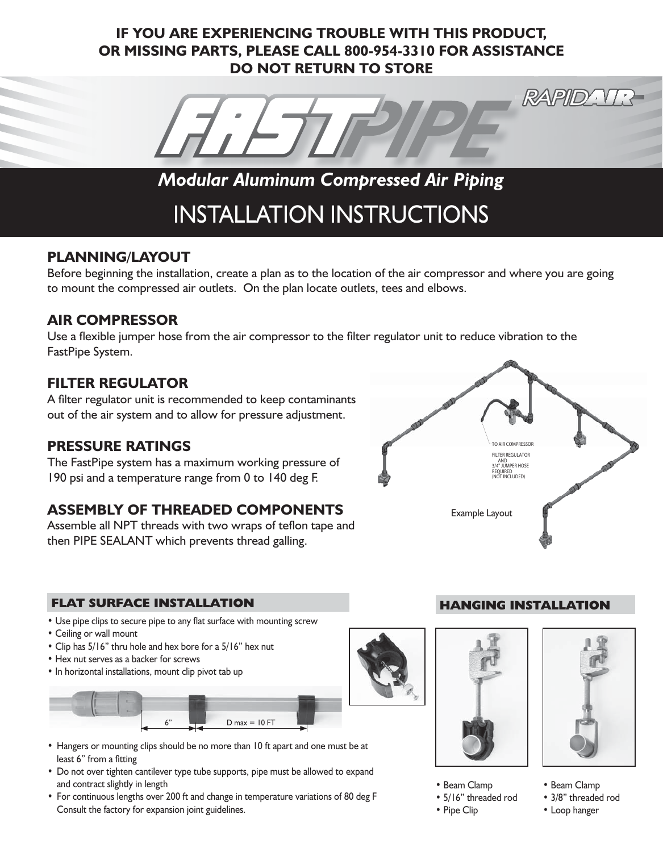## **IF YOU ARE EXPERIENCING TROUBLE WITH THIS PRODUCT, OR MISSING PARTS, PLEASE CALL 800-954-3310 FOR ASSISTANCE DO NOT RETURN TO STORE**



*Modular Aluminum Compressed Air Piping*

# INSTALLATION INSTRUCTIONS

## **PLANNING/LAYOUT**

Before beginning the installation, create a plan as to the location of the air compressor and where you are going to mount the compressed air outlets. On the plan locate outlets, tees and elbows.

## **AIR COMPRESSOR**

Use a flexible jumper hose from the air compressor to the filter regulator unit to reduce vibration to the FastPipe System.

## **FILTER REGULATOR**

A filter regulator unit is recommended to keep contaminants out of the air system and to allow for pressure adjustment.

## **PRESSURE RATINGS**

The FastPipe system has a maximum working pressure of 190 psi and a temperature range from 0 to 140 deg F.

## **ASSEMBLY OF THREADED COMPONENTS**

Assemble all NPT threads with two wraps of teflon tape and then PIPE SEALANT which prevents thread galling.



## **FLAT SURFACE INSTALLATION HANGING INSTALLATION**

- Use pipe clips to secure pipe to any flat surface with mounting screw
- Ceiling or wall mount
- Clip has 5/16" thru hole and hex bore for a 5/16" hex nut
- Hex nut serves as a backer for screws
- In horizontal installations, mount clip pivot tab up



- Hangers or mounting clips should be no more than 10 ft apart and one must be at least 6" from a fitting
- Do not over tighten cantilever type tube supports, pipe must be allowed to expand and contract slightly in length
- For continuous lengths over 200 ft and change in temperature variations of 80 deg F Consult the factory for expansion joint guidelines.



- Beam Clamp
- 5/16" threaded rod
- Pipe Clip
- 
- Beam Clamp
- $\cdot$  3/8" threaded rod
- Loop hanger